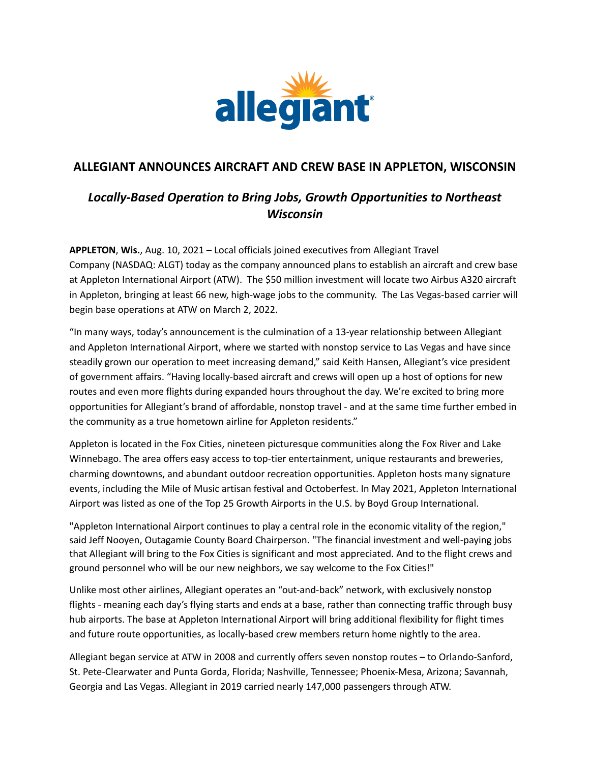

## **ALLEGIANT ANNOUNCES AIRCRAFT AND CREW BASE IN APPLETON, WISCONSIN**

# *Locally-Based Operation to Bring Jobs, Growth Opportunities to Northeast Wisconsin*

**APPLETON**, **Wis.**, Aug. 10, 2021 – Local officials joined executives from Allegiant Travel Company (NASDAQ: ALGT) today as the company announced plans to establish an aircraft and crew base at Appleton International Airport (ATW). The \$50 million investment will locate two Airbus A320 aircraft in Appleton, bringing at least 66 new, high-wage jobs to the community. The Las Vegas-based carrier will begin base operations at ATW on March 2, 2022.

"In many ways, today's announcement is the culmination of a 13-year relationship between Allegiant and Appleton International Airport, where we started with nonstop service to Las Vegas and have since steadily grown our operation to meet increasing demand," said Keith Hansen, Allegiant's vice president of government affairs. "Having locally-based aircraft and crews will open up a host of options for new routes and even more flights during expanded hours throughout the day. We're excited to bring more opportunities for Allegiant's brand of affordable, nonstop travel - and at the same time further embed in the community as a true hometown airline for Appleton residents."

Appleton is located in the Fox Cities, nineteen picturesque communities along the Fox River and Lake Winnebago. The area offers easy access to top-tier entertainment, unique restaurants and breweries, charming downtowns, and abundant outdoor recreation opportunities. Appleton hosts many signature events, including the Mile of Music artisan festival and Octoberfest. In May 2021, Appleton International Airport was listed as one of the Top 25 Growth Airports in the U.S. by Boyd Group International.

"Appleton International Airport continues to play a central role in the economic vitality of the region," said Jeff Nooyen, Outagamie County Board Chairperson. "The financial investment and well-paying jobs that Allegiant will bring to the Fox Cities is significant and most appreciated. And to the flight crews and ground personnel who will be our new neighbors, we say welcome to the Fox Cities!"

Unlike most other airlines, Allegiant operates an "out-and-back" network, with exclusively nonstop flights - meaning each day's flying starts and ends at a base, rather than connecting traffic through busy hub airports. The base at Appleton International Airport will bring additional flexibility for flight times and future route opportunities, as locally-based crew members return home nightly to the area.

Allegiant began service at ATW in 2008 and currently offers seven nonstop routes – to Orlando-Sanford, St. Pete-Clearwater and Punta Gorda, Florida; Nashville, Tennessee; Phoenix-Mesa, Arizona; Savannah, Georgia and Las Vegas. Allegiant in 2019 carried nearly 147,000 passengers through ATW.